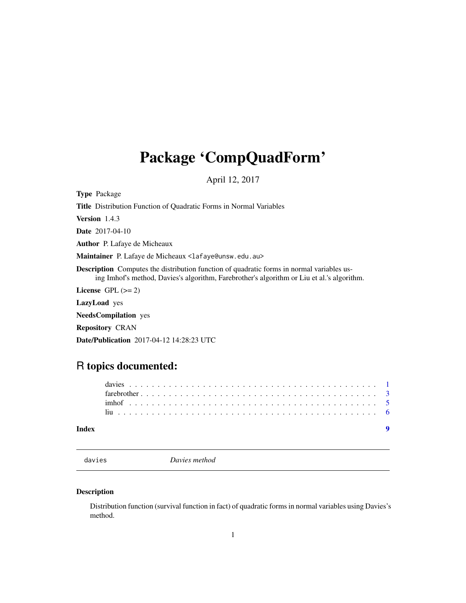## <span id="page-0-0"></span>Package 'CompQuadForm'

April 12, 2017

Type Package Title Distribution Function of Quadratic Forms in Normal Variables Version 1.4.3 Date 2017-04-10 Author P. Lafaye de Micheaux Maintainer P. Lafaye de Micheaux <lafaye@unsw.edu.au> Description Computes the distribution function of quadratic forms in normal variables using Imhof's method, Davies's algorithm, Farebrother's algorithm or Liu et al.'s algorithm. License GPL  $(>= 2)$ LazyLoad yes NeedsCompilation yes Repository CRAN Date/Publication 2017-04-12 14:28:23 UTC

### R topics documented:

#### **Index** [9](#page-8-0)

| v.<br>ıя |  |  |
|----------|--|--|
|          |  |  |

davies *Davies method*

#### Description

Distribution function (survival function in fact) of quadratic forms in normal variables using Davies's method.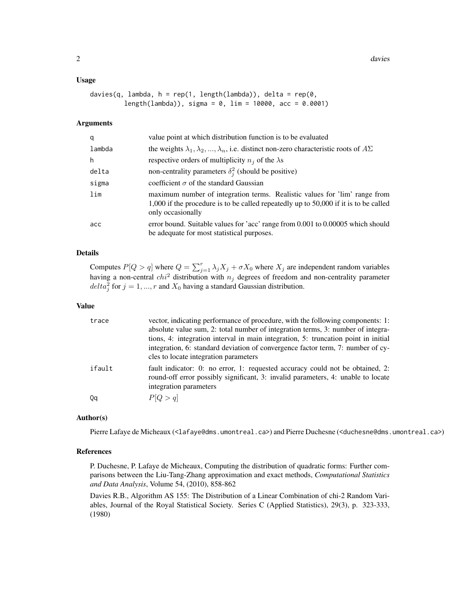#### Usage

```
davies(q, lambda, h = rep(1, length(lambda)), delta = rep(0,
         length(lambda)), sigma = 0, lim = 10000, acc = 0.0001)
```
#### Arguments

| q      | value point at which distribution function is to be evaluated                                                                                                                           |
|--------|-----------------------------------------------------------------------------------------------------------------------------------------------------------------------------------------|
| lambda | the weights $\lambda_1, \lambda_2, , \lambda_n$ , i.e. distinct non-zero characteristic roots of $A\Sigma$                                                                              |
| h      | respective orders of multiplicity $n_i$ of the $\lambda$ s                                                                                                                              |
| delta  | non-centrality parameters $\delta_i^2$ (should be positive)                                                                                                                             |
| sigma  | coefficient $\sigma$ of the standard Gaussian                                                                                                                                           |
| lim    | maximum number of integration terms. Realistic values for 'lim' range from<br>1,000 if the procedure is to be called repeatedly up to 50,000 if it is to be called<br>only occasionally |
| acc    | error bound. Suitable values for 'acc' range from 0.001 to 0.00005 which should<br>be adequate for most statistical purposes.                                                           |

#### Details

Computes  $P[Q > q]$  where  $Q = \sum_{j=1}^{r} \lambda_j X_j + \sigma X_0$  where  $X_j$  are independent random variables having a non-central  $chi^2$  distribution with  $n_j$  degrees of freedom and non-centrality parameter  $delta_j^2$  for  $j = 1, ..., r$  and  $X_0$  having a standard Gaussian distribution.

#### Value

| trace  | vector, indicating performance of procedure, with the following components: 1:<br>absolute value sum, 2: total number of integration terms, 3: number of integra-<br>tions, 4: integration interval in main integration, 5: truncation point in initial<br>integration, 6: standard deviation of convergence factor term, 7: number of cy- |
|--------|--------------------------------------------------------------------------------------------------------------------------------------------------------------------------------------------------------------------------------------------------------------------------------------------------------------------------------------------|
|        | cles to locate integration parameters                                                                                                                                                                                                                                                                                                      |
| ifault | fault indicator: 0: no error, 1: requested accuracy could not be obtained, 2:<br>round-off error possibly significant, 3: invalid parameters, 4: unable to locate<br>integration parameters                                                                                                                                                |
| Qq     | P[Q > q]                                                                                                                                                                                                                                                                                                                                   |

#### Author(s)

Pierre Lafaye de Micheaux (<lafaye@dms.umontreal.ca>) and Pierre Duchesne (<duchesne@dms.umontreal.ca>)

#### References

P. Duchesne, P. Lafaye de Micheaux, Computing the distribution of quadratic forms: Further comparisons between the Liu-Tang-Zhang approximation and exact methods, *Computational Statistics and Data Analysis*, Volume 54, (2010), 858-862

Davies R.B., Algorithm AS 155: The Distribution of a Linear Combination of chi-2 Random Variables, Journal of the Royal Statistical Society. Series C (Applied Statistics), 29(3), p. 323-333, (1980)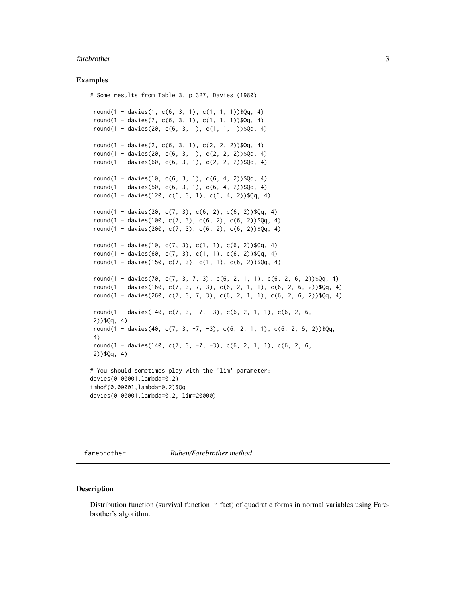#### <span id="page-2-0"></span>farebrother 3

#### Examples

```
# Some results from Table 3, p.327, Davies (1980)
round(1 - davies(1, c(6, 3, 1), c(1, 1, 1))$Qq, 4)
round(1 - davies(7, c(6, 3, 1), c(1, 1, 1))$Qq, 4)
round(1 - davies(20, c(6, 3, 1), c(1, 1, 1))$Qq, 4)
round(1 -្) -1) - davies(2, c(6, 3, 1), c(2, 2, 2))$Qq, 4)
round(1 - davies(20, c(6, 3, 1), c(2, 2, 2))$Qq, 4)
round(1 - \text{davies}(60, c(6, 3, 1), c(2, 2, 2))$Qq, 4)
round(1 - davies(10, c(6, 3, 1), c(6, 4, 2))$Qq, 4)
round(1 - davies(50, c(6, 3, 1), c(6, 4, 2))$Qq, 4)
round(1 - davies(120, c(6, 3, 1), c(6, 4, 2))$Qq, 4)
round(1 - davies(20, c(7, 3), c(6, 2), c(6, 2))$Qq, 4)
round(1 - davies(100, c(7, 3), c(6, 2), c(6, 2))$Qq, 4)
round(1 - davies(200, c(7, 3), c(6, 2), c(6, 2))$Qq, 4)
round(1 - davies(10, c(7, 3), c(1, 1), c(6, 2))$Qq, 4)
round(1 - davies(60, c(7, 3), c(1, 1), c(6, 2))$Qq, 4)
round(1 - davies(150, c(7, 3), c(1, 1), c(6, 2))$Qq, 4)
round(1 - davies(70, c(7, 3, 7, 3), c(6, 2, 1, 1), c(6, 2, 6, 2))$Qq, 4)
round(1 - davies(160, c(7, 3, 7, 3), c(6, 2, 1, 1), c(6, 2, 6, 2))$Qq, 4)
round(1 - davies(260, c(7, 3, 7, 3), c(6, 2, 1, 1), c(6, 2, 6, 2))$Qq, 4)
round(1 - davies(-40, c(7, 3, -7, -3), c(6, 2, 1, 1), c(6, 2, 6,
2))$Qq, 4)
round(1 - davies(40, c(7, 3, -7, -3), c(6, 2, 1, 1), c(6, 2, 6, 2))$Qq,
4)
round(1 - davies(140, c(7, 3, -7, -3), c(6, 2, 1, 1), c(6, 2, 6,
2))$Qq, 4)
# You should sometimes play with the 'lim' parameter:
davies(0.00001,lambda=0.2)
imhof(0.00001,lambda=0.2)$Qq
davies(0.00001,lambda=0.2, lim=20000)
```
farebrother *Ruben/Farebrother method*

#### Description

Distribution function (survival function in fact) of quadratic forms in normal variables using Farebrother's algorithm.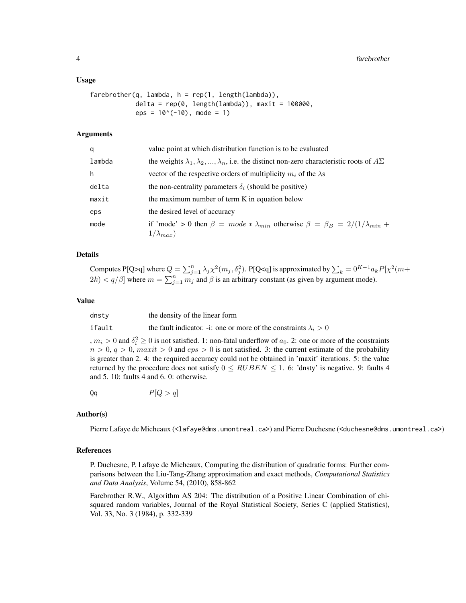#### Usage

```
farebrother(q, lambda, h = rep(1, length(lambda)),delta = rep(0, length(lambda)), maxit = 100000,
            eps = 10^(-10), mode = 1)
```
#### Arguments

| q      | value point at which distribution function is to be evaluated                                                  |
|--------|----------------------------------------------------------------------------------------------------------------|
| lambda | the weights $\lambda_1, \lambda_2, , \lambda_n$ , i.e. the distinct non-zero characteristic roots of $A\Sigma$ |
| h      | vector of the respective orders of multiplicity $m_i$ of the $\lambda$ s                                       |
| delta  | the non-centrality parameters $\delta_i$ (should be positive)                                                  |
| maxit  | the maximum number of term K in equation below                                                                 |
| eps    | the desired level of accuracy                                                                                  |
| mode   | if 'mode' > 0 then $\beta = mode * \lambda_{min}$ otherwise $\beta = \beta_B = 2/(1/\lambda_{min} +$           |
|        | $1/\lambda_{max}$ )                                                                                            |

#### Details

Computes P[Q>q] where  $Q = \sum_{j=1}^n \lambda_j \chi^2(m_j, \delta_j^2)$ . P[Q<q] is approximated by  $\sum_k = 0^{K-1} a_k P[\chi^2(m+1)]$  $2k$ )  $\lt q/\beta$  where  $m = \sum_{j=1}^{n} m_j$  and  $\beta$  is an arbitrary constant (as given by argument mode).

#### Value

| dnsty  | the density of the linear form                                          |
|--------|-------------------------------------------------------------------------|
| ifault | the fault indicator. -i: one or more of the constraints $\lambda_i > 0$ |

,  $m_i > 0$  and  $\delta_i^2 \ge 0$  is not satisfied. 1: non-fatal underflow of  $a_0$ . 2: one or more of the constraints

 $n > 0$ ,  $q > 0$ , maxit  $> 0$  and  $eps > 0$  is not satisfied. 3: the current estimate of the probability is greater than 2. 4: the required accuracy could not be obtained in 'maxit' iterations. 5: the value returned by the procedure does not satisfy  $0 \leq RUBEN \leq 1$ . 6: 'dnsty' is negative. 9: faults 4 and 5. 10: faults 4 and 6. 0: otherwise.

 $Qq$   $P[Q > q]$ 

#### Author(s)

Pierre Lafaye de Micheaux (<lafaye@dms.umontreal.ca>) and Pierre Duchesne (<duchesne@dms.umontreal.ca>)

#### References

P. Duchesne, P. Lafaye de Micheaux, Computing the distribution of quadratic forms: Further comparisons between the Liu-Tang-Zhang approximation and exact methods, *Computational Statistics and Data Analysis*, Volume 54, (2010), 858-862

Farebrother R.W., Algorithm AS 204: The distribution of a Positive Linear Combination of chisquared random variables, Journal of the Royal Statistical Society, Series C (applied Statistics), Vol. 33, No. 3 (1984), p. 332-339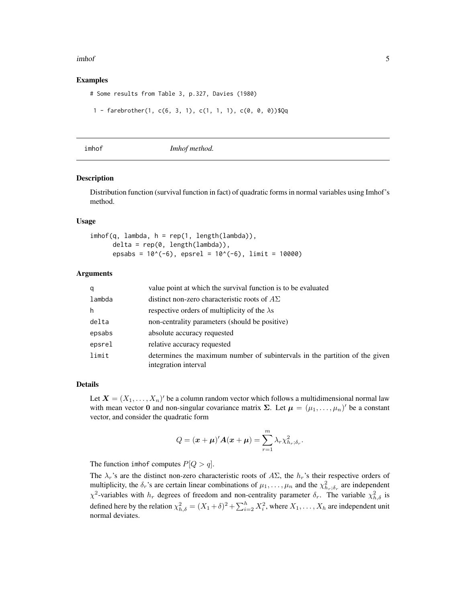#### <span id="page-4-0"></span>imhof 5

#### Examples

# Some results from Table 3, p.327, Davies (1980)

```
1 - farebrother(1, c(6, 3, 1), c(1, 1, 1), c(0, 0, 0))$Qq
```
imhof *Imhof method.*

#### Description

Distribution function (survival function in fact) of quadratic forms in normal variables using Imhof's method.

#### Usage

```
imhof(q, lambda, h = rep(1, length(lambda)),delta = rep(0, length(lambda)),epsabs = 10^*(-6), epsrel = 10^*(-6), limit = 10000)
```
#### Arguments

| q      | value point at which the survival function is to be evaluated                                       |
|--------|-----------------------------------------------------------------------------------------------------|
| lambda | distinct non-zero characteristic roots of $A\Sigma$                                                 |
| h      | respective orders of multiplicity of the $\lambda$ s                                                |
| delta  | non-centrality parameters (should be positive)                                                      |
| epsabs | absolute accuracy requested                                                                         |
| epsrel | relative accuracy requested                                                                         |
| limit  | determines the maximum number of subintervals in the partition of the given<br>integration interval |

#### Details

Let  $\mathbf{X} = (X_1, \dots, X_n)'$  be a column random vector which follows a multidimensional normal law with mean vector 0 and non-singular covariance matrix  $\Sigma$ . Let  $\mu = (\mu_1, \dots, \mu_n)'$  be a constant vector, and consider the quadratic form

$$
Q = (\boldsymbol{x} + \boldsymbol{\mu})' \boldsymbol{A} (\boldsymbol{x} + \boldsymbol{\mu}) = \sum_{r=1}^{m} \lambda_r \chi^2_{h_r; \delta_r}.
$$

The function imhof computes  $P[Q > q]$ .

The  $\lambda_r$ 's are the distinct non-zero characteristic roots of  $A\Sigma$ , the  $h_r$ 's their respective orders of multiplicity, the  $\delta_r$ 's are certain linear combinations of  $\mu_1, \ldots, \mu_n$  and the  $\chi^2_{h_r;\delta_r}$  are independent  $\chi^2$ -variables with  $h_r$  degrees of freedom and non-centrality parameter  $\delta_r$ . The variable  $\chi^2_{h,\delta}$  is defined here by the relation  $\chi^2_{h,\delta} = (X_1 + \delta)^2 + \sum_{i=2}^h X_i^2$ , where  $X_1, \ldots, X_h$  are independent unit normal deviates.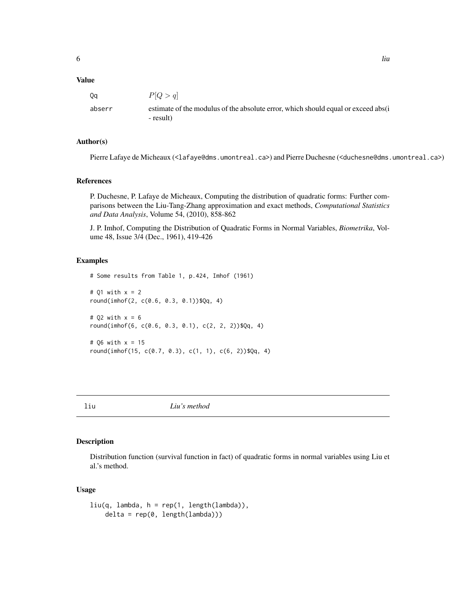#### <span id="page-5-0"></span>Value

| Оa     | P Q>q                                                                                             |
|--------|---------------------------------------------------------------------------------------------------|
| abserr | estimate of the modulus of the absolute error, which should equal or exceed absolute<br>- result) |

#### Author(s)

Pierre Lafaye de Micheaux (<lafaye@dms.umontreal.ca>) and Pierre Duchesne (<duchesne@dms.umontreal.ca>)

#### References

P. Duchesne, P. Lafaye de Micheaux, Computing the distribution of quadratic forms: Further comparisons between the Liu-Tang-Zhang approximation and exact methods, *Computational Statistics and Data Analysis*, Volume 54, (2010), 858-862

J. P. Imhof, Computing the Distribution of Quadratic Forms in Normal Variables, *Biometrika*, Volume 48, Issue 3/4 (Dec., 1961), 419-426

#### Examples

```
# Some results from Table 1, p.424, Imhof (1961)
# Q1 with x = 2
round(imhof(2, c(0.6, 0.3, 0.1))$Qq, 4)
# Q2 with x = 6round(imhof(6, c(0.6, 0.3, 0.1), c(2, 2, 2))$Qq, 4)
# Q6 with x = 15
round(imhof(15, c(0.7, 0.3), c(1, 1), c(6, 2))$Qq, 4)
```
liu *Liu's method*

#### Description

Distribution function (survival function in fact) of quadratic forms in normal variables using Liu et al.'s method.

#### Usage

```
liu(q, lambda, h = rep(1, length(lambda)),delta = rep(0, length(lambda)))
```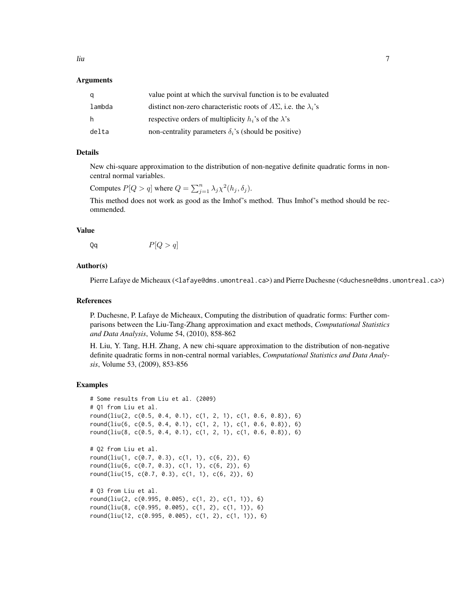#### Arguments

| q      | value point at which the survival function is to be evaluated                 |
|--------|-------------------------------------------------------------------------------|
| lambda | distinct non-zero characteristic roots of $A\Sigma$ , i.e. the $\lambda_i$ 's |
| h.     | respective orders of multiplicity $h_i$ 's of the $\lambda$ 's                |
| delta  | non-centrality parameters $\delta_i$ 's (should be positive)                  |

#### Details

New chi-square approximation to the distribution of non-negative definite quadratic forms in noncentral normal variables.

Computes  $P[Q > q]$  where  $Q = \sum_{j=1}^{n} \lambda_j \chi^2(h_j, \delta_j)$ .

This method does not work as good as the Imhof's method. Thus Imhof's method should be recommended.

#### Value

 $Qq$   $P[Q > q]$ 

#### Author(s)

Pierre Lafaye de Micheaux (<lafaye@dms.umontreal.ca>) and Pierre Duchesne (<duchesne@dms.umontreal.ca>)

#### References

P. Duchesne, P. Lafaye de Micheaux, Computing the distribution of quadratic forms: Further comparisons between the Liu-Tang-Zhang approximation and exact methods, *Computational Statistics and Data Analysis*, Volume 54, (2010), 858-862

H. Liu, Y. Tang, H.H. Zhang, A new chi-square approximation to the distribution of non-negative definite quadratic forms in non-central normal variables, *Computational Statistics and Data Analysis*, Volume 53, (2009), 853-856

#### Examples

```
# Some results from Liu et al. (2009)
# Q1 from Liu et al.
round(liu(2, c(0.5, 0.4, 0.1), c(1, 2, 1), c(1, 0.6, 0.8)), 6)
round(liu(6, c(0.5, 0.4, 0.1), c(1, 2, 1), c(1, 0.6, 0.8)), 6)
round(liu(8, c(0.5, 0.4, 0.1), c(1, 2, 1), c(1, 0.6, 0.8)), 6)
# Q2 from Liu et al.
round(liu(1, c(0.7, 0.3), c(1, 1), c(6, 2)), 6)
round(liu(6, c(0.7, 0.3), c(1, 1), c(6, 2)), 6)
round(liu(15, c(0.7, 0.3), c(1, 1), c(6, 2)), 6)
# Q3 from Liu et al.
round(liu(2, c(0.995, 0.005), c(1, 2), c(1, 1)), 6)
round(liu(8, c(0.995, 0.005), c(1, 2), c(1, 1)), 6)
round(liu(12, c(0.995, 0.005), c(1, 2), c(1, 1)), 6)
```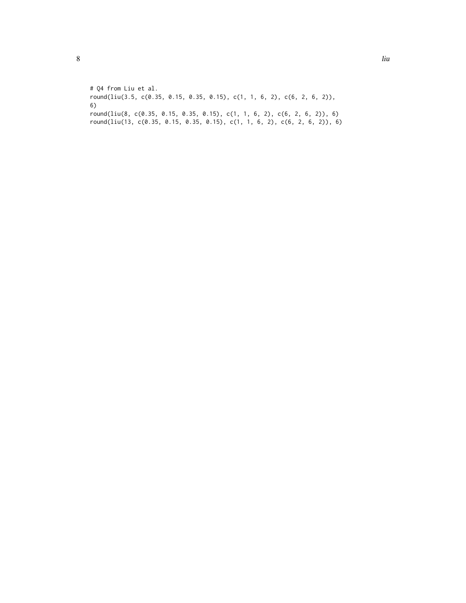# Q4 from Liu et al. round(liu(3.5, c(0.35, 0.15, 0.35, 0.15), c(1, 1, 6, 2), c(6, 2, 6, 2)), 6) round(liu(8, c(0.35, 0.15, 0.35, 0.15), c(1, 1, 6, 2), c(6, 2, 6, 2)), 6) round(liu(13, c(0.35, 0.15, 0.35, 0.15), c(1, 1, 6, 2), c(6, 2, 6, 2)), 6)

8 liu